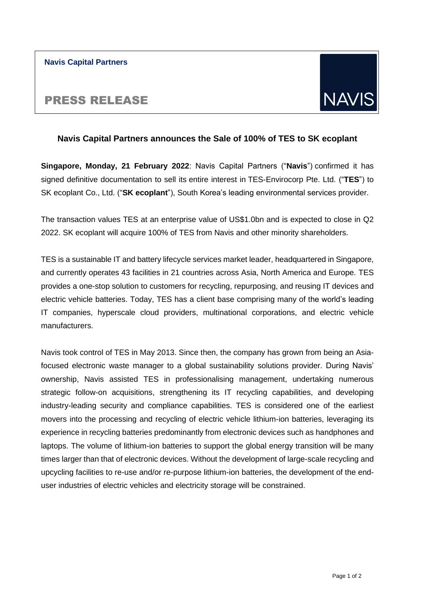#### **Navis Capital Partners**

## PRESS RELEASE

# **NAV**

### **Navis Capital Partners announces the Sale of 100% of TES to SK ecoplant**

**Singapore, Monday, 21 February 2022**: Navis Capital Partners ("**Navis**") confirmed it has signed definitive documentation to sell its entire interest in TES-Envirocorp Pte. Ltd. ("**TES**") to SK ecoplant Co., Ltd. ("**SK ecoplant**"), South Korea's leading environmental services provider.

The transaction values TES at an enterprise value of US\$1.0bn and is expected to close in Q2 2022. SK ecoplant will acquire 100% of TES from Navis and other minority shareholders.

TES is a sustainable IT and battery lifecycle services market leader, headquartered in Singapore, and currently operates 43 facilities in 21 countries across Asia, North America and Europe. TES provides a one-stop solution to customers for recycling, repurposing, and reusing IT devices and electric vehicle batteries. Today, TES has a client base comprising many of the world's leading IT companies, hyperscale cloud providers, multinational corporations, and electric vehicle manufacturers.

Navis took control of TES in May 2013. Since then, the company has grown from being an Asiafocused electronic waste manager to a global sustainability solutions provider. During Navis' ownership, Navis assisted TES in professionalising management, undertaking numerous strategic follow-on acquisitions, strengthening its IT recycling capabilities, and developing industry-leading security and compliance capabilities. TES is considered one of the earliest movers into the processing and recycling of electric vehicle lithium-ion batteries, leveraging its experience in recycling batteries predominantly from electronic devices such as handphones and laptops. The volume of lithium-ion batteries to support the global energy transition will be many times larger than that of electronic devices. Without the development of large-scale recycling and upcycling facilities to re-use and/or re-purpose lithium-ion batteries, the development of the enduser industries of electric vehicles and electricity storage will be constrained.